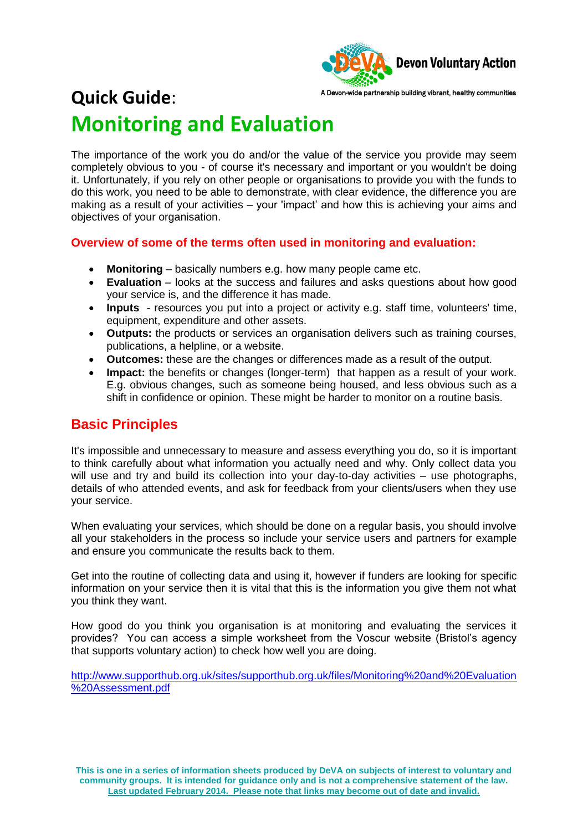

# **Quick Guide**: **Monitoring and Evaluation**

The importance of the work you do and/or the value of the service you provide may seem completely obvious to you - of course it's necessary and important or you wouldn't be doing it. Unfortunately, if you rely on other people or organisations to provide you with the funds to do this work, you need to be able to demonstrate, with clear evidence, the difference you are making as a result of your activities – your 'impact' and how this is achieving your aims and objectives of your organisation.

#### **Overview of some of the terms often used in monitoring and evaluation:**

- **Monitoring**  basically numbers e.g. how many people came etc.
- **Evaluation**  looks at the success and failures and asks questions about how good your service is, and the difference it has made.
- **Inputs**  resources you put into a project or activity e.g. staff time, volunteers' time, equipment, expenditure and other assets.
- **Outputs:** the products or services an organisation delivers such as training courses, publications, a helpline, or a website.
- **Outcomes:** these are the changes or differences made as a result of the output.
- **Impact:** the benefits or changes (longer-term) that happen as a result of your work. E.g. obvious changes, such as someone being housed, and less obvious such as a shift in confidence or opinion. These might be harder to monitor on a routine basis.

## **Basic Principles**

It's impossible and unnecessary to measure and assess everything you do, so it is important to think carefully about what information you actually need and why. Only collect data you will use and try and build its collection into your day-to-day activities – use photographs, details of who attended events, and ask for feedback from your clients/users when they use your service.

When evaluating your services, which should be done on a regular basis, you should involve all your stakeholders in the process so include your service users and partners for example and ensure you communicate the results back to them.

Get into the routine of collecting data and using it, however if funders are looking for specific information on your service then it is vital that this is the information you give them not what you think they want.

How good do you think you organisation is at monitoring and evaluating the services it provides? You can access a simple worksheet from the Voscur website (Bristol's agency that supports voluntary action) to check how well you are doing.

[http://www.supporthub.org.uk/sites/supporthub.org.uk/files/Monitoring%20and%20Evaluation](http://www.supporthub.org.uk/sites/supporthub.org.uk/files/Monitoring%20and%20Evaluation%20Assessment.pdf) [%20Assessment.pdf](http://www.supporthub.org.uk/sites/supporthub.org.uk/files/Monitoring%20and%20Evaluation%20Assessment.pdf)

**This is one in a series of information sheets produced by DeVA on subjects of interest to voluntary and community groups. It is intended for guidance only and is not a comprehensive statement of the law. Last updated February 2014. Please note that links may become out of date and invalid.**